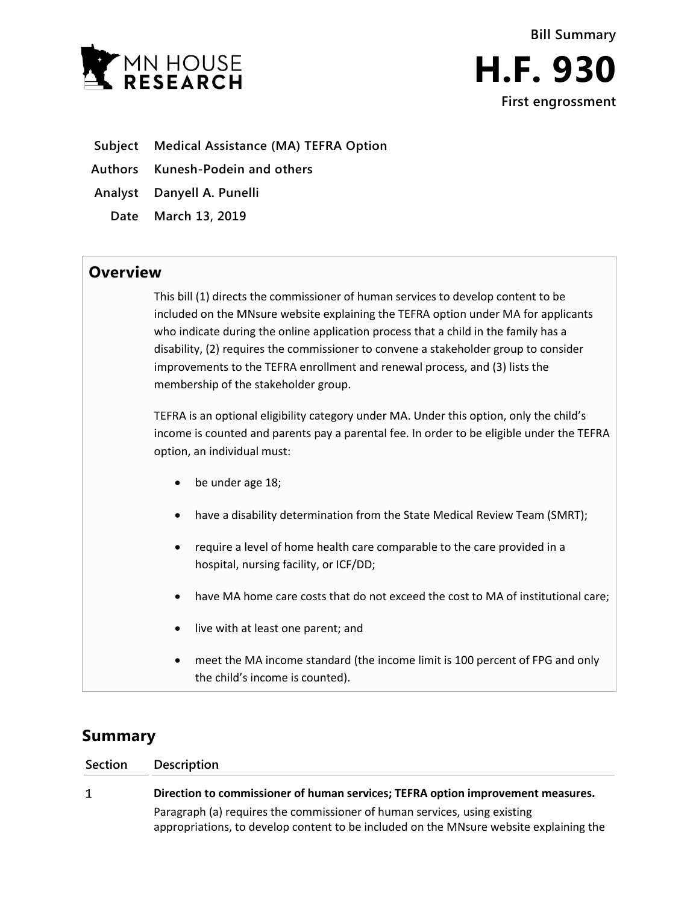



- **Subject Medical Assistance (MA) TEFRA Option**
- **Authors Kunesh-Podein and others**
- **Analyst Danyell A. Punelli**
- **Date March 13, 2019**

## **Overview**

This bill (1) directs the commissioner of human services to develop content to be included on the MNsure website explaining the TEFRA option under MA for applicants who indicate during the online application process that a child in the family has a disability, (2) requires the commissioner to convene a stakeholder group to consider improvements to the TEFRA enrollment and renewal process, and (3) lists the membership of the stakeholder group.

TEFRA is an optional eligibility category under MA. Under this option, only the child's income is counted and parents pay a parental fee. In order to be eligible under the TEFRA option, an individual must:

- be under age 18;
- have a disability determination from the State Medical Review Team (SMRT);
- require a level of home health care comparable to the care provided in a hospital, nursing facility, or ICF/DD;
- have MA home care costs that do not exceed the cost to MA of institutional care;
- live with at least one parent; and
- meet the MA income standard (the income limit is 100 percent of FPG and only the child's income is counted).

## **Summary**

| Section | Description                                                                            |
|---------|----------------------------------------------------------------------------------------|
| 1       | Direction to commissioner of human services; TEFRA option improvement measures.        |
|         | Paragraph (a) requires the commissioner of human services, using existing              |
|         | appropriations, to develop content to be included on the MNsure website explaining the |